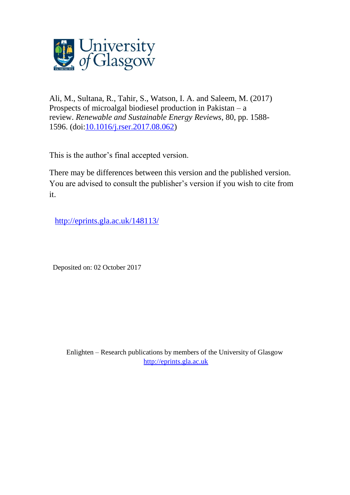

Ali, M., Sultana, R., Tahir, S., Watson, I. A. and Saleem, M. (2017) Prospects of microalgal biodiesel production in Pakistan – a review. *Renewable and Sustainable Energy Reviews*, 80, pp. 1588- 1596. (doi[:10.1016/j.rser.2017.08.062\)](http://dx.doi.org/10.1016/j.rser.2017.08.062)

This is the author's final accepted version.

There may be differences between this version and the published version. You are advised to consult the publisher's version if you wish to cite from it.

<http://eprints.gla.ac.uk/148113/>

Deposited on: 02 October 2017

Enlighten – Research publications by members of the University of Glasgow [http://eprints.gla.ac.uk](http://eprints.gla.ac.uk/)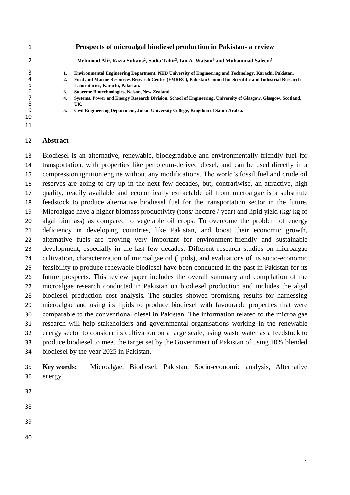|    |    | Prospects of microalgal biodiesel production in Pakistan- a review                                                                             |
|----|----|------------------------------------------------------------------------------------------------------------------------------------------------|
|    |    | Mehmood Ali <sup>1</sup> , Razia Sultana <sup>2</sup> , Sadia Tahir <sup>3</sup> , Ian A. Watson <sup>4</sup> and Muhammad Saleem <sup>5</sup> |
|    | 1. | Environmental Engineering Department, NED University of Engineering and Technology, Karachi, Pakistan.                                         |
|    | 2. | Food and Marine Resources Research Centre (FMRRC), Pakistan Council for Scientific and Industrial Research                                     |
|    |    | Laboratories, Karachi, Pakistan.                                                                                                               |
| 6  | 3. | Supreme Biotechnologies, Nelson, New Zealand                                                                                                   |
|    | 4. | Systems, Power and Energy Research Division, School of Engineering, University of Glasgow, Glasgow, Scotland,                                  |
| 8  |    | UK.                                                                                                                                            |
| 9  | 5. | Civil Engineering Department, Jubail University College, Kingdom of Saudi Arabia.                                                              |
| 10 |    |                                                                                                                                                |
| 11 |    |                                                                                                                                                |

#### **Abstract**

 Biodiesel is an alternative, renewable, biodegradable and environmentally friendly fuel for transportation, with properties like petroleum-derived diesel, and can be used directly in a compression ignition engine without any modifications. The world's fossil fuel and crude oil reserves are going to dry up in the next few decades, but, contrariwise, an attractive, high quality, readily available and economically extractable oil from microalgae is a substitute feedstock to produce alternative biodiesel fuel for the transportation sector in the future. Microalgae have a higher biomass productivity (tons/ hectare / year) and lipid yield (kg/ kg of algal biomass) as compared to vegetable oil crops. To overcome the problem of energy deficiency in developing countries, like Pakistan, and boost their economic growth, alternative fuels are proving very important for environment-friendly and sustainable development, especially in the last few decades. Different research studies on microalgae cultivation, characterization of microalgae oil (lipids), and evaluations of its socio-economic feasibility to produce renewable biodiesel have been conducted in the past in Pakistan for its future prospects. This review paper includes the overall summary and compilation of the microalgae research conducted in Pakistan on biodiesel production and includes the algal biodiesel production cost analysis. The studies showed promising results for harnessing microalgae and using its lipids to produce biodiesel with favourable properties that were comparable to the conventional diesel in Pakistan. The information related to the microalgae research will help stakeholders and governmental organisations working in the renewable energy sector to consider its cultivation on a large scale, using waste water as a feedstock to produce biodiesel to meet the target set by the Government of Pakistan of using 10% blended biodiesel by the year 2025 in Pakistan.

 **Key words:** Microalgae, Biodiesel, Pakistan, Socio-economic analysis, Alternative energy

- 
- 
- 
-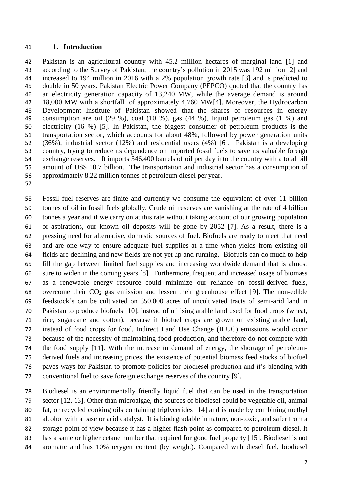#### **1. Introduction**

 Pakistan is an agricultural country with 45.2 million hectares of marginal land [\[1\]](#page-22-0) and according to the Survey of Pakistan; the country's pollution in 2015 was 192 million [\[2\]](#page-22-1) and increased to 194 million in 2016 with a 2% population growth rate [\[3\]](#page-22-2) and is predicted to double in 50 years. Pakistan Electric Power Company (PEPCO) quoted that the country has an electricity generation capacity of 13,240 MW, while the average demand is around 18,000 MW with a shortfall of approximately 4,760 MW[\[4\]](#page-22-3). Moreover, the Hydrocarbon Development Institute of Pakistan showed that the shares of resources in energy consumption are oil (29 %), coal (10 %), gas (44 %), liquid petroleum gas (1 %) and electricity (16 %) [\[5\]](#page-22-4). In Pakistan, the biggest consumer of petroleum products is the transportation sector, which accounts for about 48%, followed by power generation units (36%), industrial sector (12%) and residential users (4%) [\[6\]](#page-22-5). Pakistan is a developing country, trying to reduce its dependence on imported fossil fuels to save its valuable foreign exchange reserves. It imports 346,400 barrels of oil per day into the country with a total bill amount of US\$ 10.7 billion. The transportation and industrial sector has a consumption of approximately 8.22 million tonnes of petroleum diesel per year.

 Fossil fuel reserves are finite and currently we consume the equivalent of over 11 billion tonnes of oil in fossil fuels globally. Crude oil reserves are vanishing at the rate of 4 billion tonnes a year and if we carry on at this rate without taking account of our growing population or aspirations, our known oil deposits will be gone by 2052 [\[7\]](#page-22-6). As a result, there is a pressing need for alternative, domestic sources of fuel. Biofuels are ready to meet that need and are one way to ensure adequate fuel supplies at a time when yields from existing oil fields are declining and new fields are not yet up and running. Biofuels can do much to help fill the gap between limited fuel supplies and increasing worldwide demand that is almost sure to widen in the coming years [\[8\]](#page-22-7). Furthermore, frequent and increased usage of biomass as a renewable energy resource could minimize our reliance on fossil-derived fuels, 68 overcome their  $CO<sub>2</sub>$  gas emission and lessen their greenhouse effect [\[9\]](#page-22-8). The non-edible feedstock's can be cultivated on 350,000 acres of uncultivated tracts of semi-arid land in Pakistan to produce biofuels [\[10\]](#page-22-9), instead of utilising arable land used for food crops (wheat, rice, sugarcane and cotton), because if biofuel crops are grown on existing arable land, instead of food crops for food, Indirect Land Use Change (ILUC) emissions would occur because of the necessity of maintaining food production, and therefore do not compete with the food supply [\[11\]](#page-22-10). With the increase in demand of energy, the shortage of petroleum- derived fuels and increasing prices, the existence of potential biomass feed stocks of biofuel paves ways for Pakistan to promote policies for biodiesel production and it's blending with conventional fuel to save foreign exchange reserves of the country [\[9\]](#page-22-8).

 Biodiesel is an environmentally friendly liquid fuel that can be used in the transportation sector [\[12,](#page-22-11) [13\]](#page-22-12). Other than microalgae, the sources of biodiesel could be vegetable oil, animal fat, or recycled cooking oils containing triglycerides [\[14\]](#page-22-13) and is made by combining methyl alcohol with a base or acid catalyst. It is biodegradable in nature, non-toxic, and safer from a storage point of view because it has a higher flash point as compared to petroleum diesel. It has a same or higher cetane number that required for good fuel property [\[15\]](#page-22-14). Biodiesel is not aromatic and has 10% oxygen content (by weight). Compared with diesel fuel, biodiesel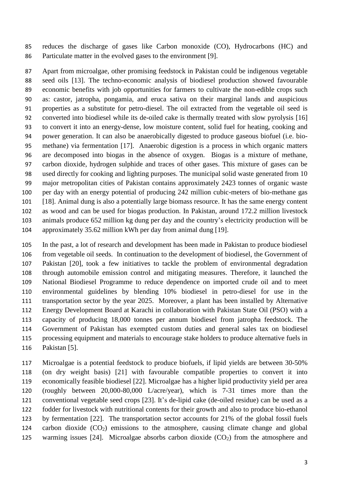reduces the discharge of gases like Carbon monoxide (CO), Hydrocarbons (HC) and Particulate matter in the evolved gases to the environment [\[9\]](#page-22-8).

 Apart from microalgae, other promising feedstock in Pakistan could be indigenous vegetable seed oils [\[13\]](#page-22-12). The techno-economic analysis of biodiesel production showed favourable economic benefits with job opportunities for farmers to cultivate the non-edible crops such as: castor, jatropha, pongamia, and eruca sativa on their marginal lands and auspicious properties as a substitute for petro-diesel. The oil extracted from the vegetable oil seed is converted into biodiesel while its de-oiled cake is thermally treated with slow pyrolysis [\[16\]](#page-22-15) to convert it into an energy-dense, low moisture content, solid fuel for heating, cooking and power generation. It can also be anaerobically digested to produce gaseous biofuel (i.e. bio- methane) via fermentation [\[17\]](#page-22-16). Anaerobic digestion is a process in which organic matters are decomposed into biogas in the absence of oxygen. Biogas is a mixture of methane, carbon dioxide, hydrogen sulphide and traces of other gases. This mixture of gases can be used directly for cooking and lighting purposes. The municipal solid waste generated from 10 major metropolitan cities of Pakistan contains approximately 2423 tonnes of organic waste per day with an energy potential of producing 242 million cubic-meters of bio-methane gas [\[18\]](#page-22-17). Animal dung is also a potentially large biomass resource. It has the same energy content as wood and can be used for biogas production. In Pakistan, around 172.2 million livestock animals produce 652 million kg dung per day and the country's electricity production will be approximately 35.62 million kWh per day from animal dung [\[19\]](#page-22-18).

 In the past, a lot of research and development has been made in Pakistan to produce biodiesel from vegetable oil seeds. In continuation to the development of biodiesel, the Government of Pakistan [\[20\]](#page-22-19), took a few initiatives to tackle the problem of environmental degradation through automobile emission control and mitigating measures. Therefore, it launched the National Biodiesel Programme to reduce dependence on imported crude oil and to meet environmental guidelines by blending 10% biodiesel in petro-diesel for use in the transportation sector by the year 2025. Moreover, a plant has been installed by Alternative Energy Development Board at Karachi in collaboration with Pakistan State Oil (PSO) with a capacity of producing 18,000 tonnes per annum biodiesel from jatropha feedstock. The Government of Pakistan has exempted custom duties and general sales tax on biodiesel processing equipment and materials to encourage stake holders to produce alternative fuels in Pakistan [\[5\]](#page-22-4).

 Microalgae is a potential feedstock to produce biofuels, if lipid yields are between 30-50% (on dry weight basis) [\[21\]](#page-22-20) with favourable compatible properties to convert it into economically feasible biodiesel [\[22\]](#page-22-21). Microalgae has a higher lipid productivity yield per area (roughly between 20,000-80,000 L/acre/year), which is 7-31 times more than the conventional vegetable seed crops [\[23\]](#page-23-0). It's de-lipid cake (de-oiled residue) can be used as a fodder for livestock with nutritional contents for their growth and also to produce bio-ethanol by fermentation [\[22\]](#page-22-21). The transportation sector accounts for 21% of the global fossil fuels 124 carbon dioxide  $(CO_2)$  emissions to the atmosphere, causing climate change and global 125 warming issues [\[24\]](#page-23-1). Microalgae absorbs carbon dioxide  $(CO<sub>2</sub>)$  from the atmosphere and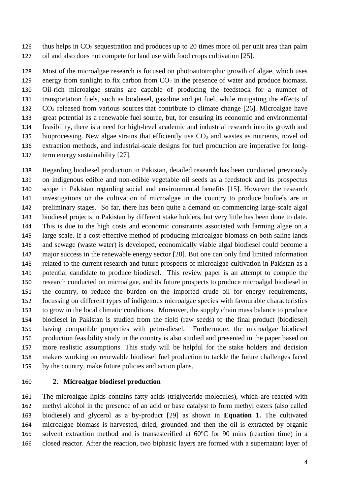thus helps in CO<sup>2</sup> sequestration and produces up to 20 times more oil per unit area than palm oil and also does not compete for land use with food crops cultivation [\[25\]](#page-23-2).

 Most of the microalgae research is focused on photoautotrophic growth of algae, which uses 129 energy from sunlight to fix carbon from  $CO<sub>2</sub>$  in the presence of water and produce biomass. Oil-rich microalgae strains are capable of producing the feedstock for a number of transportation fuels, such as biodiesel, gasoline and jet fuel, while mitigating the effects of  $CO<sub>2</sub>$  released from various sources that contribute to climate change [\[26\]](#page-23-3). Microalgae have great potential as a renewable fuel source, but, for ensuring its economic and environmental feasibility, there is a need for high-level academic and industrial research into its growth and 135 bioprocessing. New algae strains that efficiently use  $CO<sub>2</sub>$  and wastes as nutrients, novel oil extraction methods, and industrial-scale designs for fuel production are imperative for long-137 term energy sustainability [\[27\]](#page-23-4).

 Regarding biodiesel production in Pakistan, detailed research has been conducted previously on indigenous edible and non-edible vegetable oil seeds as a feedstock and its prospectus scope in Pakistan regarding social and environmental benefits [\[15\]](#page-22-14). However the research investigations on the cultivation of microalgae in the country to produce biofuels are in preliminary stages. So far, there has been quite a demand on commencing large-scale algal biodiesel projects in Pakistan by different stake holders, but very little has been done to date. This is due to the high costs and economic constraints associated with farming algae on a large scale. If a cost-effective method of producing microalgae biomass on both saline lands and sewage (waste water) is developed, economically viable algal biodiesel could become a major success in the renewable energy sector [\[28\]](#page-23-5). But one can only find limited information related to the current research and future prospects of microalgae cultivation in Pakistan as a potential candidate to produce biodiesel. This review paper is an attempt to compile the research conducted on microalgae, and its future prospects to produce microalgal biodiesel in the country, to reduce the burden on the imported crude oil for energy requirements, focussing on different types of indigenous microalgae species with favourable characteristics to grow in the local climatic conditions. Moreover, the supply chain mass balance to produce biodiesel in Pakistan is studied from the field (raw seeds) to the final product (biodiesel) having compatible properties with petro-diesel. Furthermore, the microalgae biodiesel production feasibility study in the country is also studied and presented in the paper based on more realistic assumptions. This study will be helpful for the stake holders and decision makers working on renewable biodiesel fuel production to tackle the future challenges faced by the country, make future policies and action plans.

### **2. Microalgae biodiesel production**

 The microalgae lipids contains fatty acids (triglyceride molecules), which are reacted with methyl alcohol in the presence of an acid or base catalyst to form methyl esters (also called biodiesel) and glycerol as a by-product [\[29\]](#page-23-6) as shown in **Equation 1.** The cultivated microalgae biomass is harvested, dried, grounded and then the oil is extracted by organic 165 solvent extraction method and is transesterified at  $60^{\circ}$ C for 90 mins (reaction time) in a closed reactor. After the reaction, two biphasic layers are formed with a supernatant layer of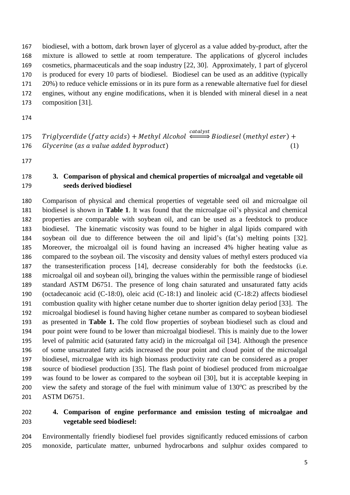biodiesel, with a bottom, dark brown layer of glycerol as a value added by-product, after the mixture is allowed to settle at room temperature. The applications of glycerol includes cosmetics, pharmaceuticals and the soap industry [\[22,](#page-22-21) [30\]](#page-23-7). Approximately, 1 part of glycerol is produced for every 10 parts of biodiesel. Biodiesel can be used as an additive (typically 20%) to reduce vehicle emissions or in its pure form as a renewable alternative fuel for diesel engines, without any engine modifications, when it is blended with mineral diesel in a neat composition [\[31\]](#page-23-8).

 $\quad$  Triglycerdide (fatty acids) + Methyl Alcohol  $\xrightarrow{catalyst}$  Biodiesel (methyl ester) + Glycerine (as a value added byproduct)  $(1)$ 

## **3. Comparison of physical and chemical properties of microalgal and vegetable oil seeds derived biodiesel**

 Comparison of physical and chemical properties of vegetable seed oil and microalgae oil biodiesel is shown in **Table 1**. It was found that the microalgae oil's physical and chemical properties are comparable with soybean oil, and can be used as a feedstock to produce biodiesel. The kinematic viscosity was found to be higher in algal lipids compared with soybean oil due to difference between the oil and lipid's (fat's) melting points [\[32\]](#page-23-9). Moreover, the microalgal oil is found having an increased 4% higher heating value as compared to the soybean oil. The viscosity and density values of methyl esters produced via the transesterification process [\[14\]](#page-22-13), decrease considerably for both the feedstocks (i.e. microalgal oil and soybean oil), bringing the values within the permissible range of biodiesel standard ASTM D6751. The presence of long chain saturated and unsaturated fatty acids (octadecanoic acid (C-18:0), oleic acid (C-18:1) and linoleic acid (C-18:2) affects biodiesel combustion quality with higher cetane number due to shorter ignition delay period [\[33\]](#page-23-10). The microalgal biodiesel is found having higher cetane number as compared to soybean biodiesel as presented in **Table 1.** The cold flow properties of soybean biodiesel such as cloud and pour point were found to be lower than microalgal biodiesel. This is mainly due to the lower level of palmitic acid (saturated fatty acid) in the microalgal oil [\[34\]](#page-23-11). Although the presence of some unsaturated fatty acids increased the pour point and cloud point of the microalgal biodiesel, microalgae with its high biomass productivity rate can be considered as a proper source of biodiesel production [\[35\]](#page-23-12). The flash point of biodiesel produced from microalgae was found to be lower as compared to the soybean oil [\[30\]](#page-23-7), but it is acceptable keeping in 200 view the safety and storage of the fuel with minimum value of  $130^{\circ}$ C as prescribed by the ASTM D6751.

# **4. Comparison of engine performance and emission testing of microalgae and vegetable seed biodiesel:**

 Environmentally friendly biodiesel fuel provides significantly reduced emissions of carbon monoxide, particulate matter, unburned hydrocarbons and sulphur oxides compared to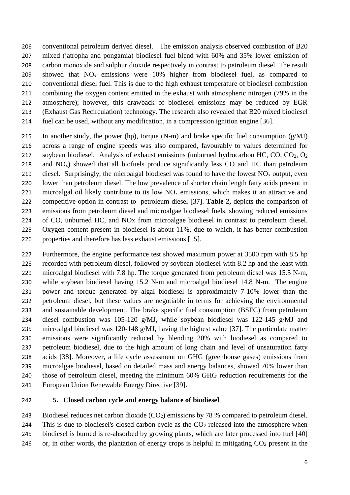conventional petroleum derived diesel. The emission analysis observed combustion of B20 mixed (jatropha and pongamia) biodiesel fuel blend with 60% and 35% lower emission of carbon monoxide and sulphur dioxide respectively in contrast to petroleum diesel. The result 209 showed that  $NO<sub>x</sub>$  emissions were 10% higher from biodiesel fuel, as compared to conventional diesel fuel. This is due to the high exhaust temperature of biodiesel combustion combining the oxygen content emitted in the exhaust with atmospheric nitrogen (79% in the atmosphere); however, this drawback of biodiesel emissions may be reduced by EGR (Exhaust Gas Recirculation) technology. The research also revealed that B20 mixed biodiesel fuel can be used, without any modification, in a compression ignition engine [\[36\]](#page-23-13).

215 In another study, the power (hp), torque (N-m) and brake specific fuel consumption  $(g/MJ)$  across a range of engine speeds was also compared, favourably to values determined for soybean biodiesel. Analysis of exhaust emissions (unburned hydrocarbon HC, CO, CO2, O<sup>2</sup> 218 and  $NO<sub>x</sub>$ ) showed that all biofuels produce significantly less CO and HC than petroleum 219 diesel. Surprisingly, the microalgal biodiesel was found to have the lowest  $NO<sub>x</sub>$  output, even lower than petroleum diesel. The low prevalence of shorter chain length fatty acids present in 221 microalgal oil likely contribute to its low  $NO<sub>x</sub>$  emissions, which makes it an attractive and competitive option in contrast to petroleum diesel [\[37\]](#page-23-14). **Table 2,** depicts the comparison of emissions from petroleum diesel and microalgae biodiesel fuels, showing reduced emissions of CO, unburned HC, and NOx from microalgae biodiesel in contrast to petroleum diesel. Oxygen content present in biodiesel is about 11%, due to which, it has better combustion properties and therefore has less exhaust emissions [\[15\]](#page-22-14).

 Furthermore, the engine performance test showed maximum power at 3500 rpm with 8.5 hp recorded with petroleum diesel, followed by soybean biodiesel with 8.2 hp and the least with microalgal biodiesel with 7.8 hp. The torque generated from petroleum diesel was 15.5 N-m, while soybean biodiesel having 15.2 N-m and microalgal biodiesel 14.8 N-m. The engine power and torque generated by algal biodiesel is approximately 7-10% lower than the petroleum diesel, but these values are negotiable in terms for achieving the environmental and sustainable development. The brake specific fuel consumption (BSFC) from petroleum diesel combustion was 105-120 g/MJ, while soybean biodiesel was 122-145 g/MJ and microalgal biodiesel was 120-148 g/MJ, having the highest value [\[37\]](#page-23-14). The particulate matter emissions were significantly reduced by blending 20% with biodiesel as compared to petroleum biodiesel, due to the high amount of long chain and level of unsaturation fatty acids [\[38\]](#page-23-15). Moreover, a life cycle assessment on GHG (greenhouse gases) emissions from microalgae biodiesel, based on detailed mass and energy balances, showed 70% lower than those of petroleum diesel, meeting the minimum 60% GHG reduction requirements for the European Union Renewable Energy Directive [\[39\]](#page-23-16).

### **5. Closed carbon cycle and energy balance of biodiesel**

243 Biodiesel reduces net carbon dioxide  $(CO<sub>2</sub>)$  emissions by 78 % compared to petroleum diesel. 244 This is due to biodiesel's closed carbon cycle as the  $CO<sub>2</sub>$  released into the atmosphere when biodiesel is burned is re-absorbed by growing plants, which are later processed into fuel [\[40\]](#page-23-17) 246 or, in other words, the plantation of energy crops is helpful in mitigating  $CO<sub>2</sub>$  present in the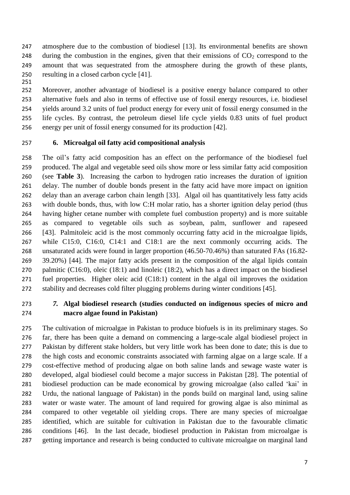- atmosphere due to the combustion of biodiesel [13]. Its environmental benefits are shown 248 during the combustion in the engines, given that their emissions of  $CO<sub>2</sub>$  correspond to the amount that was sequestrated from the atmosphere during the growth of these plants, resulting in a closed carbon cycle [\[41\]](#page-23-18).
- 

 Moreover, another advantage of biodiesel is a positive energy balance compared to other alternative fuels and also in terms of effective use of fossil energy resources, i.e. biodiesel yields around 3.2 units of fuel product energy for every unit of fossil energy consumed in the life cycles. By contrast, the petroleum diesel life cycle yields 0.83 units of fuel product energy per unit of fossil energy consumed for its production [\[42\]](#page-23-19).

## **6. Microalgal oil fatty acid compositional analysis**

 The oil's fatty acid composition has an effect on the performance of the biodiesel fuel produced. The algal and vegetable seed oils show more or less similar fatty acid composition (see **Table 3**). Increasing the carbon to hydrogen ratio increases the duration of ignition delay. The number of double bonds present in the fatty acid have more impact on ignition delay than an average carbon chain length [\[33\]](#page-23-10). Algal oil has quantitatively less fatty acids with double bonds, thus, with low C:H molar ratio, has a shorter ignition delay period (thus having higher cetane number with complete fuel combustion property) and is more suitable as compared to vegetable oils such as soybean, palm, sunflower and rapeseed [\[43\]](#page-23-20). Palmitoleic acid is the most commonly occurring fatty acid in the microalgae lipids, while C15:0, C16:0, C14:1 and C18:1 are the next commonly occurring acids. The unsaturated acids were found in larger proportion (46.50-70.46%) than saturated FAs (16.82- 39.20%) [\[44\]](#page-24-0). The major fatty acids present in the composition of the algal lipids contain palmitic (C16:0), oleic (18:1) and linoleic (18:2), which has a direct impact on the biodiesel fuel properties. Higher oleic acid (C18:1) content in the algal oil improves the oxidation stability and decreases cold filter plugging problems during winter conditions [\[45\]](#page-24-1).

# *7.* **Algal biodiesel research (studies conducted on indigenous species of micro and macro algae found in Pakistan)**

 The cultivation of microalgae in Pakistan to produce biofuels is in its preliminary stages. So far, there has been quite a demand on commencing a large-scale algal biodiesel project in Pakistan by different stake holders, but very little work has been done to date; this is due to the high costs and economic constraints associated with farming algae on a large scale. If a cost-effective method of producing algae on both saline lands and sewage waste water is developed, algal biodiesel could become a major success in Pakistan [\[28\]](#page-23-5). The potential of biodiesel production can be made economical by growing microalgae (also called 'kai' in Urdu, the national language of Pakistan) in the ponds build on marginal land, using saline water or waste water. The amount of land required for growing algae is also minimal as compared to other vegetable oil yielding crops. There are many species of microalgae identified, which are suitable for cultivation in Pakistan due to the favourable climatic conditions [\[46\]](#page-24-2). In the last decade, biodiesel production in Pakistan from microalgae is getting importance and research is being conducted to cultivate microalgae on marginal land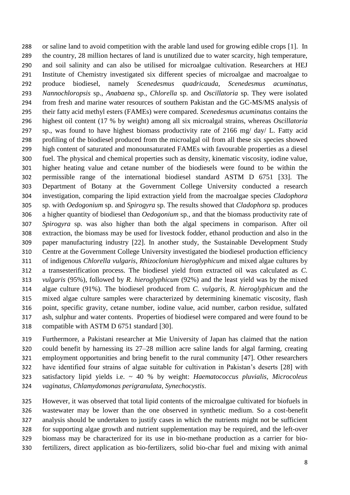or saline land to avoid competition with the arable land used for growing edible crops [\[1\]](#page-22-0). In the country, 28 million hectares of land is unutilized due to water scarcity, high temperature, and soil salinity and can also be utilised for microalgae cultivation. Researchers at HEJ Institute of Chemistry investigated six different species of microalgae and macroalgae to produce biodiesel, namely *Scenedesmus quadricauda*, *Scenedesmus acuminatus*, *Nannochloropsis* sp., *Anabaena* sp., *Chlorella* sp. and *Oscillatoria* sp. They were isolated from fresh and marine water resources of southern Pakistan and the GC-MS/MS analysis of their fatty acid methyl esters (FAMEs) were compared. *Scenedesmus acuminatus* contains the highest oil content (17 % by weight) among all six microalgal strains, whereas *Oscillatoria* sp., was found to have highest biomass productivity rate of 2166 mg/ day/ L. Fatty acid profiling of the biodiesel produced from the microalgal oil from all these six species showed high content of saturated and monounsaturated FAMEs with favourable properties as a diesel fuel. The physical and chemical properties such as density, kinematic viscosity, iodine value, higher heating value and cetane number of the biodiesels were found to be within the permissible range of the international biodiesel standard ASTM D 6751 [\[33\]](#page-23-10). The Department of Botany at the Government College University conducted a research investigation, comparing the lipid extraction yield from the macroalgae species *Cladophora*  sp. with *Oedogonium* sp. and *Spirogyra* sp. The results showed that *Cladophora* sp. produces a higher quantity of biodiesel than *Oedogonium* sp., and that the biomass productivity rate of *Spirogyra* sp. was also higher than both the algal specimens in comparison. After oil extraction, the biomass may be used for livestock fodder, ethanol production and also in the paper manufacturing industry [\[22\]](#page-22-21). In another study, the Sustainable Development Study Centre at the Government College University investigated the biodiesel production efficiency of indigenous *Chlorella vulgaris*, *Rhizoclonium hieroglyphicum* and mixed algae cultures by a transesterification process. The biodiesel yield from extracted oil was calculated as *C. vulgaris* (95%), followed by *R. hieroglyphicum* (92%) and the least yield was by the mixed algae culture (91%). The biodiesel produced from *C. vulgaris, R. hieroglyphicum* and the mixed algae culture samples were characterized by determining kinematic viscosity, flash point, specific gravity, cetane number, iodine value, acid number, carbon residue, sulfated ash, sulphur and water contents. Properties of biodiesel were compared and were found to be compatible with ASTM D 6751 standard [\[30\]](#page-23-7).

 Furthermore, a Pakistani researcher at Mie University of Japan has claimed that the nation could benefit by harnessing its 27–28 million acre saline lands for algal farming, creating employment opportunities and bring benefit to the rural community [\[47\]](#page-24-3). Other researchers have identified four strains of algae suitable for cultivation in Pakistan's deserts [\[28\]](#page-23-5) with satisfactory lipid yields i.e. ~ 40 % by weight: *Haematococcus pluvialis, Microcoleus vaginatus, Chlamydomonas perigranulata*, *Synechocystis*.

 However, it was observed that total lipid contents of the microalgae cultivated for biofuels in wastewater may be lower than the one observed in synthetic medium. So a cost-benefit analysis should be undertaken to justify cases in which the nutrients might not be sufficient for supporting algae growth and nutrient supplementation may be required, and the left-over biomass may be characterized for its use in bio-methane production as a carrier for bio-fertilizers, direct application as bio-fertilizers, solid bio-char fuel and mixing with animal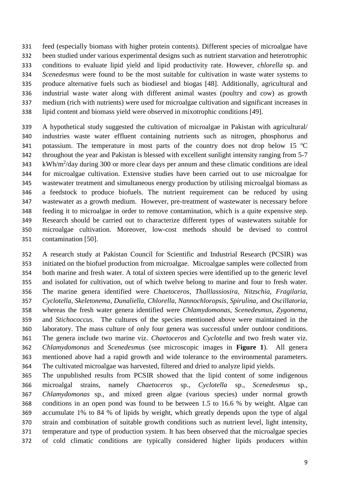feed (especially biomass with higher protein contents). Different species of microalgae have been studied under various experimental designs such as nutrient starvation and heterotrophic conditions to evaluate lipid yield and lipid productivity rate. However, *chlorella* sp. and *Scenedesmus* were found to be the most suitable for cultivation in waste water systems to produce alternative fuels such as biodiesel and biogas [\[48\]](#page-24-4). Additionally, agricultural and industrial waste water along with different animal wastes (poultry and cow) as growth medium (rich with nutrients) were used for microalgae cultivation and significant increases in lipid content and biomass yield were observed in mixotrophic conditions [\[49\]](#page-24-5).

 A hypothetical study suggested the cultivation of microalgae in Pakistan with agricultural/ industries waste water effluent containing nutrients such as nitrogen, phosphorus and 341 potassium. The temperature in most parts of the country does not drop below 15  $^{\circ}$ C throughout the year and Pakistan is blessed with excellent sunlight intensity ranging from 5-7 kWh/m<sup>2</sup>/day during 300 or more clear days per annum and these climatic conditions are ideal for microalgae cultivation. Extensive studies have been carried out to use microalgae for wastewater treatment and simultaneous energy production by utilising microalgal biomass as a feedstock to produce biofuels. The nutrient requirement can be reduced by using wastewater as a growth medium. However, pre-treatment of wastewater is necessary before feeding it to microalgae in order to remove contamination, which is a quite expensive step. Research should be carried out to characterize different types of wastewaters suitable for microalgae cultivation. Moreover, low-cost methods should be devised to control contamination [\[50\]](#page-24-6).

 A research study at Pakistan Council for Scientific and Industrial Research (PCSIR) was initiated on the biofuel production from microalgae. Microalgae samples were collected from both marine and fresh water. A total of sixteen species were identified up to the generic level and isolated for cultivation, out of which twelve belong to marine and four to fresh water. The marine genera identified were *Chaetoceros, Thalllassiosira, Nitzschia, Fragilaria, Cyclotella, Skeletonema, Dunaliella, Chlorella, Nannochloropsis, Spirulina*, and *Oscillatoria*, whereas the fresh water genera identified were *Chlamydomonas, Scenedesmus, Zygonema*, and *Stichococcus.* The cultures of the species mentioned above were maintained in the laboratory. The mass culture of only four genera was successful under outdoor conditions. The genera include two marine viz. *Chaetoceros* and *Cyclotella* and two fresh water viz. *Chlamydomonas* and *Scenedesmus* (see microscopic images in **Figure 1**). All genera mentioned above had a rapid growth and wide tolerance to the environmental parameters. The cultivated microalgae was harvested, filtered and dried to analyze lipid yields.

 The unpublished results from PCSIR showed that the lipid content of some indigenous microalgal strains, namely *Chaetoceros* sp., *Cyclotella* sp., *Scenedesmus* sp., *Chlamydomonas* sp., and mixed green algae (various species) under normal growth conditions in an open pond was found to be between 1.5 to 16.6 % by weight. Algae can accumulate 1% to 84 % of lipids by weight, which greatly depends upon the type of algal strain and combination of suitable growth conditions such as nutrient level, light intensity, temperature and type of production system. It has been observed that the microalgae species of cold climatic conditions are typically considered higher lipids producers within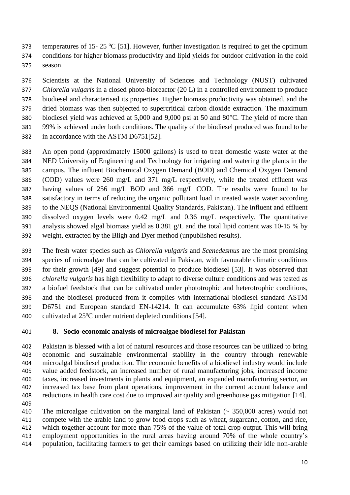373 temperatures of 15- 25 °C [\[51\]](#page-24-7). However, further investigation is required to get the optimum conditions for higher biomass productivity and lipid yields for outdoor cultivation in the cold season.

 Scientists at the National University of Sciences and Technology (NUST) cultivated *Chlorella vulgaris* in a closed photo-bioreactor (20 L) in a controlled environment to produce biodiesel and characterised its properties. Higher biomass productivity was obtained, and the dried biomass was then subjected to supercritical carbon dioxide extraction. The maximum biodiesel yield was achieved at 5,000 and 9,000 psi at 50 and 80°C. The yield of more than 99% is achieved under both conditions. The quality of the biodiesel produced was found to be in accordance with the ASTM D6751[\[52\]](#page-24-8).

 An open pond (approximately 15000 gallons) is used to treat domestic waste water at the NED University of Engineering and Technology for irrigating and watering the plants in the campus. The influent Biochemical Oxygen Demand (BOD) and Chemical Oxygen Demand (COD) values were 260 mg/L and 371 mg/L respectively, while the treated effluent was having values of 256 mg/L BOD and 366 mg/L COD. The results were found to be satisfactory in terms of reducing the organic pollutant load in treated waste water according to the NEQS (National Environmental Quality Standards, Pakistan). The influent and effluent dissolved oxygen levels were 0.42 mg/L and 0.36 mg/L respectively. The quantitative analysis showed algal biomass yield as 0.381 g/L and the total lipid content was 10-15 % by weight, extracted by the Bligh and Dyer method (unpublished results).

 The fresh water species such as *Chlorella vulgaris* and *Scenedesmus* are the most promising species of microalgae that can be cultivated in Pakistan, with favourable climatic conditions for their growth [\[49\]](#page-24-5) and suggest potential to produce biodiesel [\[53\]](#page-24-9). It was observed that *chlorella vulgaris* has high flexibility to adapt to diverse culture conditions and was tested as a biofuel feedstock that can be cultivated under phototrophic and heterotrophic conditions, and the biodiesel produced from it complies with international biodiesel standard ASTM D6751 and European standard EN-14214. It can accumulate 63% lipid content when 400 cultivated at  $25^{\circ}$ C under nutrient depleted conditions [\[54\]](#page-24-10).

## **8. Socio-economic analysis of microalgae biodiesel for Pakistan**

 Pakistan is blessed with a lot of natural resources and those resources can be utilized to bring economic and sustainable environmental stability in the country through renewable microalgal biodiesel production. The economic benefits of a biodiesel industry would include value added feedstock, an increased number of rural manufacturing jobs, increased income taxes, increased investments in plants and equipment, an expanded manufacturing sector, an increased tax base from plant operations, improvement in the current account balance and reductions in health care cost due to improved air quality and greenhouse gas mitigation [\[14\]](#page-22-13). 

 The microalgae cultivation on the marginal land of Pakistan (~ 350,000 acres) would not compete with the arable land to grow food crops such as wheat, sugarcane, cotton, and rice, which together account for more than 75% of the value of total crop output. This will bring employment opportunities in the rural areas having around 70% of the whole country's population, facilitating farmers to get their earnings based on utilizing their idle non-arable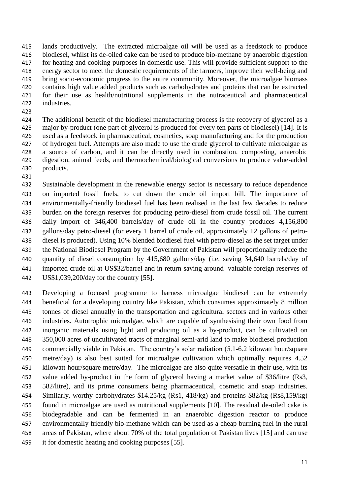lands productively. The extracted microalgae oil will be used as a feedstock to produce biodiesel, whilst its de-oiled cake can be used to produce bio-methane by anaerobic digestion for heating and cooking purposes in domestic use. This will provide sufficient support to the energy sector to meet the domestic requirements of the farmers, improve their well-being and bring socio-economic progress to the entire community. Moreover, the microalgae biomass contains high value added products such as carbohydrates and proteins that can be extracted for their use as health/nutritional supplements in the nutraceutical and pharmaceutical industries.

 The additional benefit of the biodiesel manufacturing process is the recovery of glycerol as a major by-product (one part of glycerol is produced for every ten parts of biodiesel) [\[14\]](#page-22-13). It is used as a feedstock in pharmaceutical, cosmetics, soap manufacturing and for the production of hydrogen fuel. Attempts are also made to use the crude glycerol to cultivate microalgae as a source of carbon, and it can be directly used in combustion, composting, anaerobic digestion, animal feeds, and thermochemical/biological conversions to produce value-added products.

 Sustainable development in the renewable energy sector is necessary to reduce dependence on imported fossil fuels, to cut down the crude oil import bill. The importance of environmentally-friendly biodiesel fuel has been realised in the last few decades to reduce burden on the foreign reserves for producing petro-diesel from crude fossil oil. The current daily import of 346,400 barrels/day of crude oil in the country produces 4,156,800 gallons/day petro-diesel (for every 1 barrel of crude oil, approximately 12 gallons of petro- diesel is produced). Using 10% blended biodiesel fuel with petro-diesel as the set target under the National Biodiesel Program by the Government of Pakistan will proportionally reduce the quantity of diesel consumption by 415,680 gallons/day (i.e. saving 34,640 barrels/day of imported crude oil at US\$32/barrel and in return saving around valuable foreign reserves of US\$1,039,200/day for the country [\[55\]](#page-24-11).

 Developing a focused programme to harness microalgae biodiesel can be extremely beneficial for a developing country like Pakistan, which consumes approximately 8 million tonnes of diesel annually in the transportation and agricultural sectors and in various other industries. Autotrophic microalgae, which are capable of synthesising their own food from inorganic materials using light and producing oil as a by-product, can be cultivated on 350,000 acres of uncultivated tracts of marginal semi-arid land to make biodiesel production commercially viable in Pakistan. The country's solar radiation (5.1-6.2 kilowatt hour/square metre/day) is also best suited for microalgae cultivation which optimally requires 4.52 kilowatt hour/square metre/day. The microalgae are also quite versatile in their use, with its value added by-product in the form of glycerol having a market value of \$36/litre (Rs3, 582/litre), and its prime consumers being pharmaceutical, cosmetic and soap industries. Similarly, worthy carbohydrates \$14.25/kg (Rs1, 418/kg) and proteins \$82/kg (Rs8,159/kg) found in microalgae are used as nutritional supplements [\[10\]](#page-22-9). The residual de-oiled cake is biodegradable and can be fermented in an anaerobic digestion reactor to produce environmentally friendly bio-methane which can be used as a cheap burning fuel in the rural areas of Pakistan, where about 70% of the total population of Pakistan lives [\[15\]](#page-22-14) and can use it for domestic heating and cooking purposes [\[55\]](#page-24-11).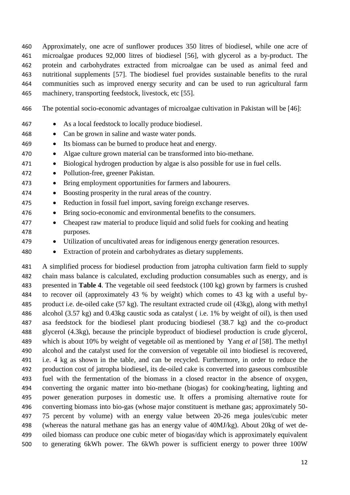Approximately, one acre of sunflower produces 350 litres of biodiesel, while one acre of microalgae produces 92,000 litres of biodiesel [\[56\]](#page-24-12), with glycerol as a by-product. The protein and carbohydrates extracted from microalgae can be used as animal feed and nutritional supplements [\[57\]](#page-24-13). The biodiesel fuel provides sustainable benefits to the rural communities such as improved energy security and can be used to run agricultural farm machinery, transporting feedstock, livestock, etc [\[55\]](#page-24-11).

- The potential socio-economic advantages of microalgae cultivation in Pakistan will be [\[46\]](#page-24-2):
- 467 As a local feedstock to locally produce biodiesel.
- Can be grown in saline and waste water ponds.
- Its biomass can be burned to produce heat and energy.
- Algae culture grown material can be transformed into bio-methane.
- 471 Biological hydrogen production by algae is also possible for use in fuel cells.
- 472 Pollution-free, greener Pakistan.
- Bring employment opportunities for farmers and labourers.
- Boosting prosperity in the rural areas of the country.
- 475 Reduction in fossil fuel import, saving foreign exchange reserves.
- Bring socio-economic and environmental benefits to the consumers.
- Cheapest raw material to produce liquid and solid fuels for cooking and heating purposes.
- Utilization of uncultivated areas for indigenous energy generation resources.
- Extraction of protein and carbohydrates as dietary supplements.

 A simplified process for biodiesel production from jatropha cultivation farm field to supply chain mass balance is calculated, excluding production consumables such as energy, and is presented in **Table 4**. The vegetable oil seed feedstock (100 kg) grown by farmers is crushed to recover oil (approximately 43 % by weight) which comes to 43 kg with a useful by- product i.e. de-oiled cake (57 kg). The resultant extracted crude oil (43kg), along with methyl alcohol (3.57 kg) and 0.43kg caustic soda as catalyst ( i.e. 1% by weight of oil), is then used asa feedstock for the biodiesel plant producing biodiesel (38.7 kg) and the co-product glycerol (4.3kg), because the principle byproduct of biodiesel production is crude glycerol, which is about 10% by weight of vegetable oil as mentioned by Yang *et al* [\[58\]](#page-24-14). The methyl alcohol and the catalyst used for the conversion of vegetable oil into biodiesel is recovered, i.e. 4 kg as shown in the table, and can be recycled. Furthermore, in order to reduce the production cost of jatropha biodiesel, its de-oiled cake is converted into gaseous combustible fuel with the fermentation of the biomass in a closed reactor in the absence of oxygen, converting the organic matter into bio-methane (biogas) for cooking/heating, lighting and power generation purposes in domestic use. It offers a promising alternative route for converting biomass into bio-gas (whose major constituent is methane gas; approximately 50- 75 percent by volume) with an energy value between 20-26 mega joules/cubic meter (whereas the natural methane gas has an energy value of 40MJ/kg). About 20kg of wet de- oiled biomass can produce one cubic meter of biogas/day which is approximately equivalent to generating 6kWh power. The 6kWh power is sufficient energy to power three 100W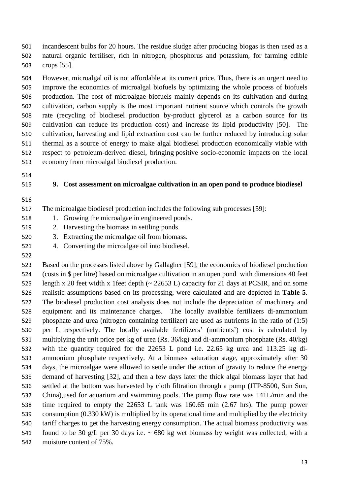incandescent bulbs for 20 hours. The residue sludge after producing biogas is then used as a natural organic fertiliser, rich in nitrogen, phosphorus and potassium, for farming edible crops [\[55\]](#page-24-11).

 However, microalgal oil is not affordable at its current price. Thus, there is an urgent need to improve the economics of microalgal biofuels by optimizing the whole process of biofuels production. The cost of microalgae biofuels mainly depends on its cultivation and during cultivation, carbon supply is the most important nutrient source which controls the growth rate (recycling of biodiesel production by-product glycerol as a carbon source for its cultivation can reduce its production cost) and increase its lipid productivity [\[50\]](#page-24-6). The cultivation, harvesting and lipid extraction cost can be further reduced by introducing solar thermal as a source of energy to make algal biodiesel production economically viable with respect to petroleum-derived diesel, bringing positive socio-economic impacts on the local economy from microalgal biodiesel production.

- 
- 

#### **9. Cost assessment on microalgae cultivation in an open pond to produce biodiesel**

- 
- The microalgae biodiesel production includes the following sub processes [\[59\]](#page-24-15):
- 1. Growing the microalgae in engineered ponds.
- 2. Harvesting the biomass in settling ponds.
- 3. Extracting the microalgae oil from biomass.
- 4. Converting the microalgae oil into biodiesel.
- 

 Based on the processes listed above by Gallagher [\[59\]](#page-24-15), the economics of biodiesel production (costs in \$ per litre) based on microalgae cultivation in an open pond with dimensions 40 feet length x 20 feet width x 1feet depth (~ 22653 L) capacity for 21 days at PCSIR, and on some realistic assumptions based on its processing, were calculated and are depicted in **Table 5**. The biodiesel production cost analysis does not include the depreciation of machinery and equipment and its maintenance charges. The locally available fertilizers di-ammonium phosphate and urea (nitrogen containing fertilizer) are used as nutrients in the ratio of (1:5) per L respectively. The locally available fertilizers' (nutrients') cost is calculated by multiplying the unit price per kg of urea (Rs. 36/kg) and di-ammonium phosphate (Rs. 40/kg) with the quantity required for the 22653 L pond i.e. 22.65 kg urea and 113.25 kg di- ammonium phosphate respectively. At a biomass saturation stage, approximately after 30 days, the microalgae were allowed to settle under the action of gravity to reduce the energy demand of harvesting [\[32\]](#page-23-9), and then a few days later the thick algal biomass layer that had settled at the bottom was harvested by cloth filtration through a pump **(**JTP-8500, Sun Sun, China),used for aquarium and swimming pools. The pump flow rate was 141L/min and the time required to empty the 22653 L tank was 160.65 min (2.67 hrs). The pump power consumption (0.330 kW) is multiplied by its operational time and multiplied by the electricity tariff charges to get the harvesting energy consumption. The actual biomass productivity was 541 found to be 30 g/L per 30 days i.e.  $\sim$  680 kg wet biomass by weight was collected, with a moisture content of 75%.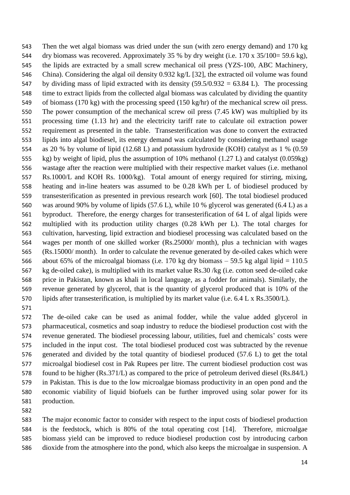Then the wet algal biomass was dried under the sun (with zero energy demand) and 170 kg dry biomass was recovered. Approximately 35 % by dry weight (i.e. 170 x 35/100= 59.6 kg), the lipids are extracted by a small screw mechanical oil press (YZS-100, ABC Machinery, China). Considering the algal oil density 0.932 kg/L [\[32\]](#page-23-9), the extracted oil volume was found 547 by dividing mass of lipid extracted with its density  $(59.5/0.932 = 63.84 \text{ L})$ . The processing time to extract lipids from the collected algal biomass was calculated by dividing the quantity of biomass (170 kg) with the processing speed (150 kg/hr) of the mechanical screw oil press. The power consumption of the mechanical screw oil press (7.45 kW) was multiplied by its processing time (1.13 hr) and the electricity tariff rate to calculate oil extraction power requirement as presented in the table. Transesterification was done to convert the extracted lipids into algal biodiesel, its energy demand was calculated by considering methanol usage as 20 % by volume of lipid (12.68 L) and potassium hydroxide (KOH) catalyst as 1 % (0.59 kg) by weight of lipid, plus the assumption of 10% methanol (1.27 L) and catalyst (0.059kg) wastage after the reaction were multiplied with their respective market values (i.e. methanol Rs.1000/L and KOH Rs. 1000/kg). Total amount of energy required for stirring, mixing, heating and in-line heaters was assumed to be 0.28 kWh per L of biodiesel produced by transesterification as presented in previous research work [\[60\]](#page-24-16). The total biodiesel produced was around 90% by volume of lipids (57.6 L), while 10 % glycerol was generated (6.4 L) as a byproduct. Therefore, the energy charges for transesterification of 64 L of algal lipids were multiplied with its production utility charges (0.28 kWh per L). The total charges for cultivation, harvesting, lipid extraction and biodiesel processing was calculated based on the wages per month of one skilled worker (Rs.25000/ month), plus a technician with wages (Rs.15000/ month). In order to calculate the revenue generated by de-oiled cakes which were 566 about 65% of the microalgal biomass (i.e. 170 kg dry biomass  $-$  59.5 kg algal lipid  $=$  110.5 kg de-oiled cake), is multiplied with its market value Rs.30 /kg (i.e. cotton seed de-oiled cake price in Pakistan, known as khali in local language, as a fodder for animals). Similarly, the revenue generated by glycerol, that is the quantity of glycerol produced that is 10% of the lipids after transesterification, is multiplied by its market value (i.e. 6.4 L x Rs.3500/L).

 The de-oiled cake can be used as animal fodder, while the value added glycerol in pharmaceutical, cosmetics and soap industry to reduce the biodiesel production cost with the revenue generated. The biodiesel processing labour, utilities, fuel and chemicals' costs were included in the input cost. The total biodiesel produced cost was subtracted by the revenue generated and divided by the total quantity of biodiesel produced (57.6 L) to get the total microalgal biodiesel cost in Pak Rupees per litre. The current biodiesel production cost was found to be higher (Rs.371/L) as compared to the price of petroleum derived diesel (Rs.84/L) in Pakistan. This is due to the low microalgae biomass productivity in an open pond and the economic viability of liquid biofuels can be further improved using solar power for its production.

 The major economic factor to consider with respect to the input costs of biodiesel production is the feedstock, which is 80% of the total operating cost [\[14\]](#page-22-13). Therefore, microalgae biomass yield can be improved to reduce biodiesel production cost by introducing carbon dioxide from the atmosphere into the pond, which also keeps the microalgae in suspension. A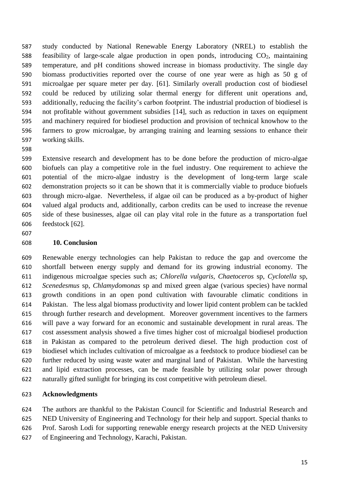study conducted by National Renewable Energy Laboratory (NREL) to establish the 588 feasibility of large-scale algae production in open ponds, introducing  $CO<sub>2</sub>$ , maintaining temperature, and pH conditions showed increase in biomass productivity. The single day biomass productivities reported over the course of one year were as high as 50 g of microalgae per square meter per day. [\[61\]](#page-24-17). Similarly overall production cost of biodiesel could be reduced by utilizing solar thermal energy for different unit operations and, additionally, reducing the facility's carbon footprint. The industrial production of biodiesel is not profitable without government subsidies [\[14\]](#page-22-13), such as reduction in taxes on equipment and machinery required for biodiesel production and provision of technical knowhow to the farmers to grow microalgae, by arranging training and learning sessions to enhance their working skills.

 Extensive research and development has to be done before the production of micro-algae biofuels can play a competitive role in the fuel industry. One requirement to achieve the potential of the micro-algae industry is the development of long-term large scale demonstration projects so it can be shown that it is commercially viable to produce biofuels through micro-algae. Nevertheless, if algae oil can be produced as a by-product of higher valued algal products and, additionally, carbon credits can be used to increase the revenue side of these businesses, algae oil can play vital role in the future as a transportation fuel feedstock [\[62\]](#page-24-18).

## **10. Conclusion**

 Renewable energy technologies can help Pakistan to reduce the gap and overcome the shortfall between energy supply and demand for its growing industrial economy. The indigenous microalgae species such as; *Chlorella vulgaris, Chaetoceros* sp, *Cyclotella* sp, *Scenedesmus* sp, *Chlamydomonas* sp and mixed green algae (various species) have normal growth conditions in an open pond cultivation with favourable climatic conditions in Pakistan. The less algal biomass productivity and lower lipid content problem can be tackled through further research and development. Moreover government incentives to the farmers will pave a way forward for an economic and sustainable development in rural areas. The cost assessment analysis showed a five times higher cost of microalgal biodiesel production in Pakistan as compared to the petroleum derived diesel. The high production cost of biodiesel which includes cultivation of microalgae as a feedstock to produce biodiesel can be further reduced by using waste water and marginal land of Pakistan. While the harvesting and lipid extraction processes, can be made feasible by utilizing solar power through naturally gifted sunlight for bringing its cost competitive with petroleum diesel.

## **Acknowledgments**

 The authors are thankful to the Pakistan Council for Scientific and Industrial Research and NED University of Engineering and Technology for their help and support. Special thanks to

Prof. Sarosh Lodi for supporting renewable energy research projects at the NED University

of Engineering and Technology, Karachi, Pakistan.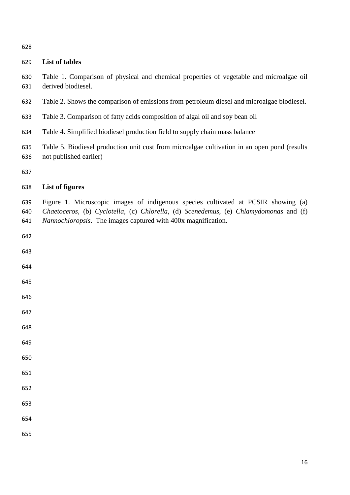| v<br>۰.<br>I<br>×<br>۰.<br>v |
|------------------------------|
|------------------------------|

# **List of tables**

- Table 1. Comparison of physical and chemical properties of vegetable and microalgae oil derived biodiesel.
- Table 2. Shows the comparison of emissions from petroleum diesel and microalgae biodiesel.
- Table 3. Comparison of fatty acids composition of algal oil and soy bean oil
- Table 4. Simplified biodiesel production field to supply chain mass balance
- Table 5. Biodiesel production unit cost from microalgae cultivation in an open pond (results not published earlier)

### **List of figures**

 Figure 1. Microscopic images of indigenous species cultivated at PCSIR showing (a) *Chaetoceros,* (b) *Cyclotella*, (c) *Chlorella*, (d) *Scenedemus*, (e) *Chlamydomonas* and (f) *Nannochloropsis*. The images captured with 400x magnification.

- 
- 
- 
- 
- 
- 
- 
- 
- 
- 
- 
- 
- 
- 
-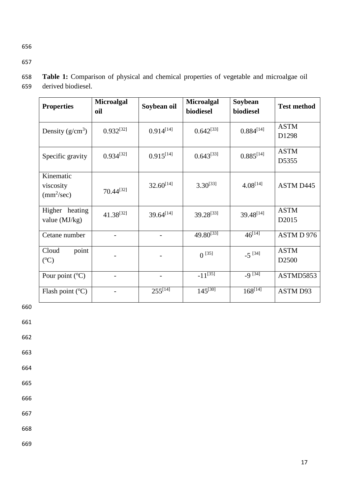656

657

| <b>Properties</b>                                    | <b>Microalgal</b><br>oil | Soybean oil    | <b>Microalgal</b><br>biodiesel | Soybean<br>biodiesel    | <b>Test method</b>               |
|------------------------------------------------------|--------------------------|----------------|--------------------------------|-------------------------|----------------------------------|
| Density $(g/cm^3)$                                   | $0.932^{[32]}$           | $0.914^{[14]}$ | $0.642^{[33]}$                 | $0.884^{[14]}$          | <b>ASTM</b><br>D1298             |
| Specific gravity                                     | $0.934^{[32]}$           | $0.915^{[14]}$ | $0.643^{[33]}$                 | $0.885^{[14]}$          | <b>ASTM</b><br>D5355             |
| Kinematic<br>viscosity<br>$\text{(mm}^2/\text{sec})$ | $70.44^{[32]}$           | $32.60^{[14]}$ | $3.30^{[33]}$                  | $4.08^{[14]}$           | ASTM D445                        |
| Higher heating<br>value $(MJ/kg)$                    | $41.38^{[32]}$           | $39.64^{[14]}$ | $39.28^{[33]}$                 | $39.48^{[14]}$          | <b>ASTM</b><br>D <sub>2015</sub> |
| Cetane number                                        |                          |                | $49.80^{[33]}$                 | $46^{[14]}$             | ASTM D 976                       |
| Cloud<br>point<br>$({}^{\circ}C)$                    |                          |                | $0^{[35]}$                     | $-5^{[34]}$             | <b>ASTM</b><br>D <sub>2500</sub> |
| Pour point (°C)                                      |                          |                | $-11^{[35]}$                   | $-9^{[34]}$             | ASTMD5853                        |
| Flash point $(^{\circ}C)$                            |                          | $255^{[14]}$   | $145^{[30]}$                   | $168^{[1\overline{4}]}$ | ASTM D93                         |

658 **Table 1:** Comparison of physical and chemical properties of vegetable and microalgae oil 659 derived biodiesel.

660

661

662

663

664

665

666

667

668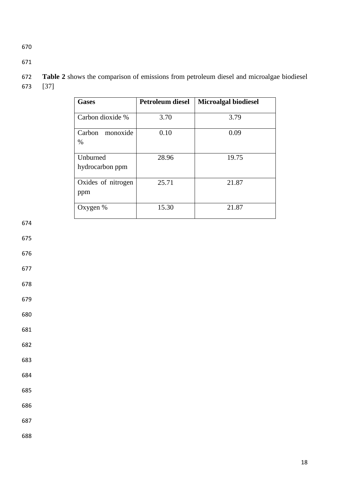| <b>Gases</b>                | <b>Petroleum diesel</b> | <b>Microalgal biodiesel</b> |
|-----------------------------|-------------------------|-----------------------------|
| Carbon dioxide %            | 3.70                    | 3.79                        |
| Carbon monoxide<br>%        | 0.10                    | 0.09                        |
| Unburned<br>hydrocarbon ppm | 28.96                   | 19.75                       |
| Oxides of nitrogen<br>ppm   | 25.71                   | 21.87                       |
| Oxygen $%$                  | 15.30                   | 21.87                       |

 **Table 2** shows the comparison of emissions from petroleum diesel and microalgae biodiesel [\[37\]](#page-23-14)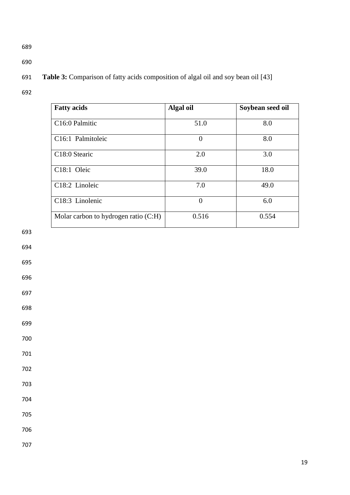- 
- 

# **Table 3:** Comparison of fatty acids composition of algal oil and soy bean oil [\[43\]](#page-23-20)

| <b>Fatty acids</b>                   | Algal oil | Soybean seed oil |
|--------------------------------------|-----------|------------------|
| C16:0 Palmitic                       | 51.0      | 8.0              |
| C16:1 Palmitoleic                    | $\Omega$  | 8.0              |
| C18:0 Stearic                        | 2.0       | 3.0              |
| C18:1 Oleic                          | 39.0      | 18.0             |
| C18:2 Linoleic                       | 7.0       | 49.0             |
| C18:3 Linolenic                      | $\theta$  | 6.0              |
| Molar carbon to hydrogen ratio (C:H) | 0.516     | 0.554            |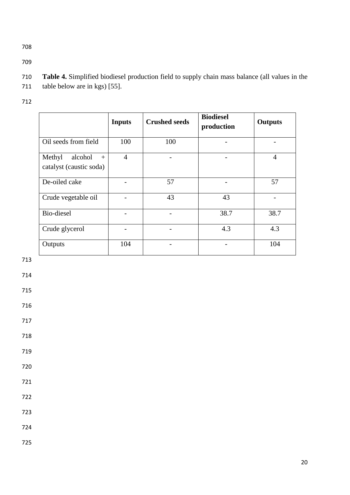- **Table 4.** Simplified biodiesel production field to supply chain mass balance (all values in the table below are in kgs) [\[55\]](#page-24-11).
- 

|                                                     | <b>Inputs</b>  | <b>Crushed seeds</b> | <b>Biodiesel</b><br>production | <b>Outputs</b> |
|-----------------------------------------------------|----------------|----------------------|--------------------------------|----------------|
| Oil seeds from field                                | 100            | 100                  |                                |                |
| Methyl<br>alcohol<br>$+$<br>catalyst (caustic soda) | $\overline{4}$ |                      |                                | $\overline{4}$ |
| De-oiled cake                                       |                | 57                   |                                | 57             |
| Crude vegetable oil                                 |                | 43                   | 43                             |                |
| Bio-diesel                                          |                |                      | 38.7                           | 38.7           |
| Crude glycerol                                      |                |                      | 4.3                            | 4.3            |
| Outputs                                             | 104            |                      |                                | 104            |
|                                                     |                |                      |                                |                |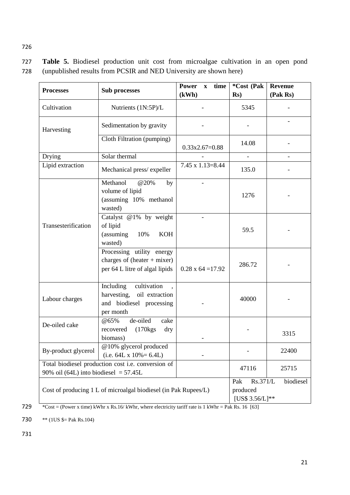727 **Table 5.** Biodiesel production unit cost from microalgae cultivation in an open pond 728 (unpublished results from PCSIR and NED University are shown here)

| <b>Processes</b>                                                                                                  | <b>Sub processes</b>                                                                                   | <b>Power</b><br>time<br>$\mathbf{X}$ | *Cost (Pak                                     | <b>Revenue</b> |
|-------------------------------------------------------------------------------------------------------------------|--------------------------------------------------------------------------------------------------------|--------------------------------------|------------------------------------------------|----------------|
|                                                                                                                   |                                                                                                        | (kWh)                                | $\mathbf{Rs}$ )                                | (Pak Rs)       |
| Cultivation                                                                                                       | Nutrients (1N:5P)/L                                                                                    |                                      | 5345                                           |                |
| Harvesting                                                                                                        | Sedimentation by gravity                                                                               |                                      |                                                |                |
|                                                                                                                   | Cloth Filtration (pumping)                                                                             | $0.33x2.67=0.88$                     | 14.08                                          |                |
| Drying                                                                                                            | Solar thermal                                                                                          |                                      | $\overline{\phantom{a}}$                       |                |
| Lipid extraction                                                                                                  | Mechanical press/expeller                                                                              | $7.45 \times 1.13 = 8.44$            | 135.0                                          |                |
|                                                                                                                   | Methanol<br>@20%<br>by<br>volume of lipid<br>(assuming 10% methanol<br>wasted)                         |                                      | 1276                                           |                |
| Transesterification                                                                                               | Catalyst @1% by weight<br>of lipid<br>(assuming<br>10%<br><b>KOH</b><br>wasted)                        |                                      | 59.5                                           |                |
|                                                                                                                   | Processing utility energy<br>charges of $(heater + mixer)$<br>per 64 L litre of algal lipids           | $0.28 \times 64 = 17.92$             | 286.72                                         |                |
| cultivation<br>Including<br>harvesting, oil extraction<br>Labour charges<br>and biodiesel processing<br>per month |                                                                                                        |                                      | 40000                                          |                |
| $@65\%$<br>de-oiled<br>cake<br>De-oiled cake<br>$(170 \text{kg})$<br>recovered<br>dry<br>biomass)                 |                                                                                                        |                                      |                                                | 3315           |
| By-product glycerol                                                                                               | @10% glycerol produced<br>$(i.e. 64L \times 10\% = 6.4L)$                                              |                                      |                                                | 22400          |
|                                                                                                                   | Total biodiesel production cost i.e. conversion of<br>47116<br>90% oil (64L) into biodiesel = $57.45L$ |                                      |                                                | 25715          |
| Cost of producing 1 L of microalgal biodiesel (in Pak Rupees/L)                                                   |                                                                                                        |                                      | Rs.371/L<br>Pak<br>produced<br>[US\$ 3.56/L]** | biodiesel      |

729 \*Cost = (Power x time) kWhr x Rs.16/ kWhr, where electricity tariff rate is 1 kWhr = Pak Rs. 16 [\[63\]](#page-24-19)

730  $**$  (1US  $\frac{1}{5}$  Pak Rs.104)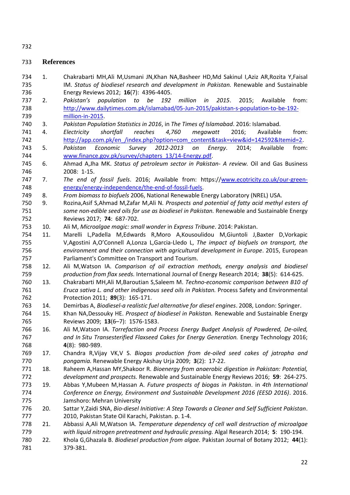# **References**

- <span id="page-22-0"></span> 1. Chakrabarti MH,Ali M,Usmani JN,Khan NA,Basheer HD,Md Sakinul I,Aziz AR,Rozita Y,Faisal IM. *Status of biodiesel research and development in Pakistan.* Renewable and Sustainable Energy Reviews 2012; **16**(7): 4396-4405.
- <span id="page-22-1"></span> 2. *Pakistan's population to be 192 million in 2015*. 2015; Available from: [http://www.dailytimes.com.pk/islamabad/05-Jun-2015/pakistan-s-population-to-be-192-](http://www.dailytimes.com.pk/islamabad/05-Jun-2015/pakistan-s-population-to-be-192-million-in-2015) [million-in-2015.](http://www.dailytimes.com.pk/islamabad/05-Jun-2015/pakistan-s-population-to-be-192-million-in-2015)
- <span id="page-22-2"></span>3. *Pakistan Population Statistics in 2016*, in *The Times of Islamabad*. 2016: Islamabad.
- <span id="page-22-3"></span> 4. *Electricity shortfall reaches 4,760 megawatt* 2016; Available from: 742 http://app.com.pk/en /index.php?option=com\_content&task=view&id=142592&Itemid=2.
- <span id="page-22-4"></span> 5. *Pakistan Economic Survey 2012-2013 on Energy*. 2014; Available from: [www.finance.gov.pk/survey/chapters\\_13/14-Energy.pdf.](http://www.finance.gov.pk/survey/chapters_13/14-Energy.pdf)
- <span id="page-22-5"></span> 6. Ahmad A,Jha MK. *Status of petroleum sector in Pakistan- A review.* Oil and Gas Business 2008: 1-15.
- <span id="page-22-6"></span> 7. *The end of fossil fuels*. 2016; Available from: https:/[/www.ecotricity.co.uk/our-green-](http://www.ecotricity.co.uk/our-green-energy/energy-independence/the-end-of-fossil-fuels)[energy/energy-independence/the-end-of-fossil-fuels.](http://www.ecotricity.co.uk/our-green-energy/energy-independence/the-end-of-fossil-fuels)
- <span id="page-22-7"></span>8. *From biomass to biofuels* 2006, National Renewable Energy Laboratory (NREL) USA.
- <span id="page-22-8"></span> 9. Rozina,Asif S,Ahmad M,Zafar M,Ali N. *Prospects and potential of fatty acid methyl esters of some non-edible seed oils for use as biodiesel in Pakistan.* Renewable and Sustainable Energy Reviews 2017; **74**: 687-702.
- <span id="page-22-9"></span>10. Ali M, *Microalgae magic: small wonder* in *Express Tribune*. 2014: Pakistan.
- <span id="page-22-10"></span> 11. Marelli L,Padella M,Edwards R,Moro A,Kousoulidou M,Giuntoli J,Baxter D,Vorkapic V,Agostini A,O'Connell A,Lonza L,Garcia-Lledo L, *The impact of biofuels on transport, the environment and their connection with agricultural development in Europe*. 2015, European Parliament's Committee on Transport and Tourism.
- <span id="page-22-11"></span> 12. Ali M,Watson IA. *Comparison of oil extraction methods, energy analysis and biodiesel production from flax seeds.* International Journal of Energy Research 2014; **38**(5): 614-625.
- <span id="page-22-12"></span> 13. Chakrabarti MH,Ali M,Baroutian S,Saleem M. *Techno-economic comparison between B10 of Eruca sativa L. and other indigenous seed oils in Pakistan.* Process Safety and Environmental Protection 2011; **89**(3): 165-171.
- <span id="page-22-13"></span>14. Demirbas A, *Biodiesel-a realistic fuel alternative for diesel engines*. 2008, London: Springer.
- <span id="page-22-14"></span> 15. Khan NA,Dessouky HE. *Prospect of biodiesel in Pakistan.* Renewable and Sustainable Energy Reviews 2009; **13**(6–7): 1576-1583.
- <span id="page-22-15"></span> 16. Ali M,Watson IA. *Torrefaction and Process Energy Budget Analysis of Powdered, De-oiled, and In Situ Transesterified Flaxseed Cakes for Energy Generation.* Energy Technology 2016; **4**(8): 980-989.
- <span id="page-22-16"></span> 17. Chandra R,Vijay VK,V S. *Biogas production from de-oiled seed cakes of jatropha and pongamia.* Renewable Energy Akshay Urja 2009; **3**(2): 17-22.
- <span id="page-22-17"></span> 18. Raheem A,Hassan MY,Shakoor R. *Bioenergy from anaerobic digestion in Pakistan: Potential, development and prospects.* Renewable and Sustainable Energy Reviews 2016; **59**: 264-275.
- <span id="page-22-18"></span> 19. Abbas Y,Mubeen M,Hassan A. *Future prospects of biogas in Pakistan*. in *4th International Conference on Energy, Environment and Sustainable Development 2016 (EESD 2016)*. 2016. Jamshoro: Mehran University
- <span id="page-22-19"></span> 20. Sattar Y,Zaidi SNA, *Bio-diesel Initiative: A Step Towards a Cleaner and Self Sufficient Pakistan*. 2010, Pakistan State Oil Karachi, Pakistan. p. 1-4.
- <span id="page-22-20"></span> 21. Abbassi A,Ali M,Watson IA. *Temperature dependency of cell wall destruction of microalgae with liquid nitrogen pretreatment and hydraulic pressing.* Algal Research 2014; **5**: 190-194.
- <span id="page-22-21"></span> 22. Khola G,Ghazala B. *Biodiesel production from algae.* Pakistan Journal of Botany 2012; **44**(1): 379-381.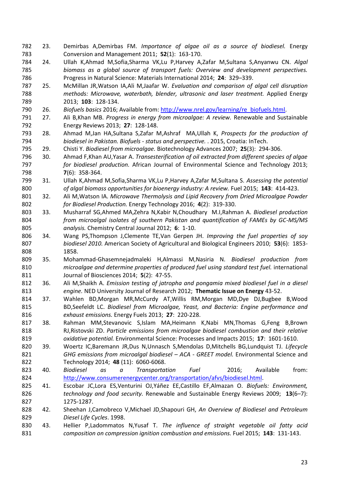- <span id="page-23-0"></span> 23. Demirbas A,Demirbas FM. *Importance of algae oil as a source of biodiesel.* Energy Conversion and Management 2011; **52**(1): 163-170.
- <span id="page-23-1"></span> 24. Ullah K,Ahmad M,Sofia,Sharma VK,Lu P,Harvey A,Zafar M,Sultana S,Anyanwu CN. *Algal biomass as a global source of transport fuels: Overview and development perspectives.* Progress in Natural Science: Materials International 2014; **24**: 329–339.
- <span id="page-23-2"></span> 25. McMillan JR,Watson IA,Ali M,Jaafar W. *Evaluation and comparison of algal cell disruption methods: Microwave, waterbath, blender, ultrasonic and laser treatment.* Applied Energy 2013; **103**: 128-134.
- <span id="page-23-3"></span>26. *Biofuels basics* 2016; Available from: [http://www.nrel.gov/learning/re\\_biofuels.html.](http://www.nrel.gov/learning/re_biofuels.html)
- <span id="page-23-4"></span> 27. Ali B,Khan MB. *Progress in energy from microalgae: A review.* Renewable and Sustainable Energy Reviews 2013; **27**: 128-148.
- <span id="page-23-5"></span> 28. Ahmad M,Jan HA,Sultana S,Zafar M,Ashraf MA,Ullah K, *Prospects for the production of biodiesel in Pakistan. Biofuels - status and perspective.* . 2015, Croatia: InTech.
- <span id="page-23-6"></span>29. Chisti Y. *Biodiesel from microalgae.* Biotechnology Advances 2007; **25**(3): 294-306.
- <span id="page-23-7"></span> 30. Ahmad F,Khan AU,Yasar A. *Transesterification of oil extracted from different species of algae for biodiesel production.* African Journal of Environmental Science and Technology 2013; **7**(6): 358-364.
- <span id="page-23-8"></span> 31. Ullah K,Ahmad M,Sofia,Sharma VK,Lu P,Harvey A,Zafar M,Sultana S. *Assessing the potential of algal biomass opportunities for bioenergy industry: A review.* Fuel 2015; **143**: 414-423.
- <span id="page-23-9"></span> 32. Ali M,Watson IA. *Microwave Thermolysis and Lipid Recovery from Dried Microalgae Powder for Biodiesel Production.* Energy Technology 2016; **4**(2): 319-330.
- <span id="page-23-10"></span> 33. Musharraf SG,Ahmed MA,Zehra N,Kabir N,Choudhary M.I,Rahman A. *Biodiesel production from microalgal isolates of southern Pakistan and quantification of FAMEs by GC-MS/MS analysis.* Chemistry Central Journal 2012; **6**: 1-10.
- <span id="page-23-11"></span> 34. Wang PS,Thompson J,Clemente TE,Van Gerpen JH. *Improving the fuel properties of soy biodiesel 2010.* American Society of Agricultural and Biological Engineers 2010; **53**(6): 1853- 1858.
- <span id="page-23-12"></span> 35. Mohammad-Ghasemnejadmaleki H,Almassi M,Nasiria N. *Biodiesel production from microalgae and determine properties of produced fuel using standard test fuel.* international Journal of Biosciences 2014; **5**(2): 47-55.
- <span id="page-23-13"></span> 36. Ali M,Shaikh A. *Emission testing of jatropha and pongamia mixed biodiesel fuel in a diesel engine.* NED University Journal of Research 2012; **Thematic Issue on Energy** 43-52.
- <span id="page-23-14"></span> 37. Wahlen BD,Morgan MR,McCurdy AT,Willis RM,Morgan MD,Dye DJ,Bugbee B,Wood BD,Seefeldt LC. *Biodiesel from Microalgae, Yeast, and Bacteria: Engine performance and exhaust emissions.* Energy Fuels 2013; **27**: 220-228.
- <span id="page-23-15"></span> 38. Rahman MM,Stevanovic S,Islam MA,Heimann K,Nabi MN,Thomas G,Feng B,Brown RJ,Ristovski ZD. *Particle emissions from microalgae biodiesel combustion and their relative oxidative potential.* Environmental Science: Processes and Impacts 2015; **17**: 1601-1610.
- <span id="page-23-16"></span> 39. Woertz IC,Baremann JR,Dus N,Unnasch S,Mendolas D,Mitchells BG,Lundquist TJ. *Lifecycle GHG emissions from microalgal biodiesel – ACA - GREET model.* Environmental Science and Technology 2014; **48** (11): 6060-6068.
- <span id="page-23-17"></span> 40. *Biodiesel as a Transportation Fuel* 2016; Available from: [http://www.consumerenergycenter.org/transportation/afvs/biodiesel.html.](http://www.consumerenergycenter.org/transportation/afvs/biodiesel.html)
- <span id="page-23-18"></span> 41. Escobar JC,Lora ES,Venturini OJ,Yáñez EE,Castillo EF,Almazan O. *Biofuels: Environment, technology and food security.* Renewable and Sustainable Energy Reviews 2009; **13**(6–7): 1275-1287.
- <span id="page-23-19"></span> 42. Sheehan J,Camobreco V,Michael JD,Shapouri GH, *An Overview of Biodiesel and Petroleum Diesel Life Cycles*. 1998.
- <span id="page-23-20"></span> 43. Hellier P,Ladommatos N,Yusaf T. *The influence of straight vegetable oil fatty acid composition on compression ignition combustion and emissions.* Fuel 2015; **143**: 131-143.